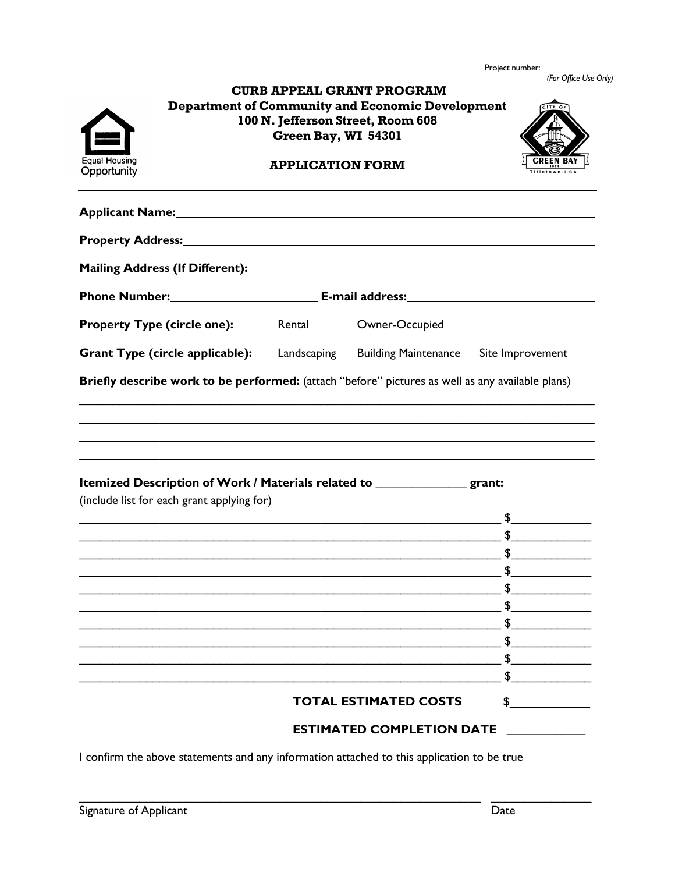Project number: \_\_\_\_\_\_\_\_\_\_\_\_\_\_\_ *(For Office Use Only)*

|                                                                                                                                                                                                                                                                                                                                       | Green Bay, WI 54301     | <b>CURB APPEAL GRANT PROGRAM</b><br><b>Department of Community and Economic Development</b><br>100 N. Jefferson Street, Room 608 |                  |
|---------------------------------------------------------------------------------------------------------------------------------------------------------------------------------------------------------------------------------------------------------------------------------------------------------------------------------------|-------------------------|----------------------------------------------------------------------------------------------------------------------------------|------------------|
| Equal Housing<br>Opportunity                                                                                                                                                                                                                                                                                                          | <b>APPLICATION FORM</b> |                                                                                                                                  |                  |
|                                                                                                                                                                                                                                                                                                                                       |                         |                                                                                                                                  |                  |
| Property Address: National Address and Address and Address and Address and Address and Address and Address and                                                                                                                                                                                                                        |                         |                                                                                                                                  |                  |
|                                                                                                                                                                                                                                                                                                                                       |                         |                                                                                                                                  |                  |
|                                                                                                                                                                                                                                                                                                                                       |                         |                                                                                                                                  |                  |
| <b>Property Type (circle one):</b>                                                                                                                                                                                                                                                                                                    | Rental                  | Owner-Occupied                                                                                                                   |                  |
| <b>Grant Type (circle applicable):</b> Landscaping                                                                                                                                                                                                                                                                                    |                         | <b>Building Maintenance</b>                                                                                                      | Site Improvement |
| <u> 1989 - 1989 - 1989 - 1989 - 1989 - 1989 - 1989 - 1989 - 1989 - 1989 - 1989 - 1989 - 1989 - 1989 - 1989 - 19</u><br>,我们也不能在这里的人,我们也不能在这里的人,我们也不能在这里的人,我们也不能在这里的人,我们也不能在这里的人,我们也不能在这里的人,我们也不能在这里的人,我们也<br>Itemized Description of Work / Materials related to ________________ grant:<br>(include list for each grant applying for) |                         |                                                                                                                                  |                  |
|                                                                                                                                                                                                                                                                                                                                       |                         |                                                                                                                                  |                  |
|                                                                                                                                                                                                                                                                                                                                       |                         |                                                                                                                                  |                  |
|                                                                                                                                                                                                                                                                                                                                       |                         | <u> 1989 - Jan Sarajević, politika i postala i postala i postala i postala i postala i postala i postala i postal</u>            |                  |
|                                                                                                                                                                                                                                                                                                                                       |                         |                                                                                                                                  |                  |
|                                                                                                                                                                                                                                                                                                                                       |                         |                                                                                                                                  |                  |
|                                                                                                                                                                                                                                                                                                                                       |                         |                                                                                                                                  |                  |
|                                                                                                                                                                                                                                                                                                                                       |                         |                                                                                                                                  |                  |
|                                                                                                                                                                                                                                                                                                                                       |                         |                                                                                                                                  |                  |
|                                                                                                                                                                                                                                                                                                                                       |                         |                                                                                                                                  |                  |
|                                                                                                                                                                                                                                                                                                                                       |                         | <b>TOTAL ESTIMATED COSTS</b>                                                                                                     |                  |
|                                                                                                                                                                                                                                                                                                                                       |                         | <b>ESTIMATED COMPLETION DATE</b>                                                                                                 |                  |

I confirm the above statements and any information attached to this application to be true

 $\_$  ,  $\_$  ,  $\_$  ,  $\_$  ,  $\_$  ,  $\_$  ,  $\_$  ,  $\_$  ,  $\_$  ,  $\_$  ,  $\_$  ,  $\_$  ,  $\_$  ,  $\_$  ,  $\_$  ,  $\_$  ,  $\_$  ,  $\_$  ,  $\_$  ,  $\_$  ,  $\_$  ,  $\_$  ,  $\_$  ,  $\_$  ,  $\_$  ,  $\_$  ,  $\_$  ,  $\_$  ,  $\_$  ,  $\_$  ,  $\_$  ,  $\_$  ,  $\_$  ,  $\_$  ,  $\_$  ,  $\_$  ,  $\_$  ,